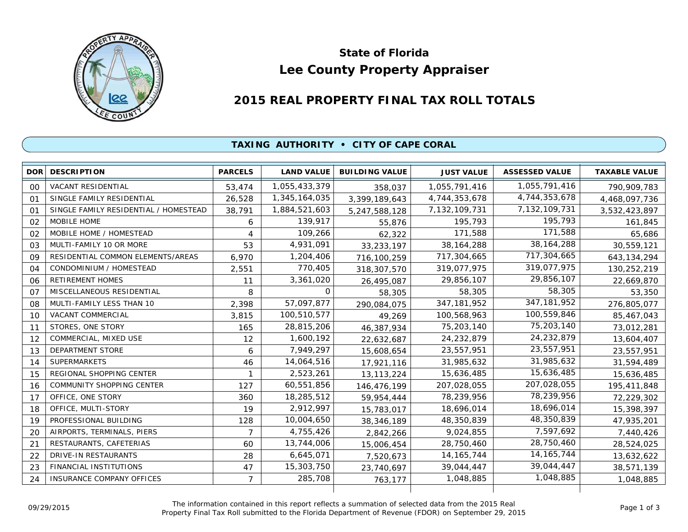

# **Lee County Property Appraiser State of Florida**

## **2015 REAL PROPERTY FINAL TAX ROLL TOTALS**

### **TAXING AUTHORITY • CITY OF CAPE CORAL**

| <b>DOR</b>     | <b>DESCRIPTION</b>                    | <b>PARCELS</b> | <b>LAND VALUE</b> | <b>BUILDING VALUE</b> | <b>JUST VALUE</b> | <b>ASSESSED VALUE</b> | <b>TAXABLE VALUE</b> |
|----------------|---------------------------------------|----------------|-------------------|-----------------------|-------------------|-----------------------|----------------------|
| 00             | <b>VACANT RESIDENTIAL</b>             | 53,474         | 1,055,433,379     | 358,037               | 1,055,791,416     | 1,055,791,416         | 790,909,783          |
| 01             | SINGLE FAMILY RESIDENTIAL             | 26,528         | 1,345,164,035     | 3,399,189,643         | 4,744,353,678     | 4,744,353,678         | 4,468,097,736        |
| $\Omega$ 1     | SINGLE FAMILY RESIDENTIAL / HOMESTEAD | 38,791         | 1,884,521,603     | 5,247,588,128         | 7,132,109,731     | 7,132,109,731         | 3,532,423,897        |
| 02             | MOBILE HOME                           | 6              | 139,917           | 55,876                | 195,793           | 195,793               | 161,845              |
| 02             | MOBILE HOME / HOMESTEAD               | 4              | 109,266           | 62,322                | 171,588           | 171,588               | 65,686               |
| 03             | MULTI-FAMILY 10 OR MORE               | 53             | 4,931,091         | 33, 233, 197          | 38, 164, 288      | 38, 164, 288          | 30,559,121           |
| 09             | RESIDENTIAL COMMON ELEMENTS/AREAS     | 6,970          | 1,204,406         | 716,100,259           | 717,304,665       | 717,304,665           | 643, 134, 294        |
| 04             | CONDOMINIUM / HOMESTEAD               | 2,551          | 770,405           | 318,307,570           | 319,077,975       | 319,077,975           | 130,252,219          |
| 06             | <b>RETIREMENT HOMES</b>               | 11             | 3,361,020         | 26,495,087            | 29,856,107        | 29,856,107            | 22,669,870           |
| O <sub>7</sub> | MISCELLANEOUS RESIDENTIAL             | 8              | 0                 | 58,305                | 58,305            | 58,305                | 53,350               |
| 08             | MULTI-FAMILY LESS THAN 10             | 2,398          | 57,097,877        | 290,084,075           | 347, 181, 952     | 347, 181, 952         | 276,805,077          |
| 10             | <b>VACANT COMMERCIAL</b>              | 3,815          | 100,510,577       | 49,269                | 100,568,963       | 100,559,846           | 85,467,043           |
| 11             | STORES, ONE STORY                     | 165            | 28,815,206        | 46,387,934            | 75,203,140        | 75,203,140            | 73,012,281           |
| 12             | COMMERCIAL, MIXED USE                 | 12             | 1,600,192         | 22,632,687            | 24,232,879        | 24,232,879            | 13,604,407           |
| 13             | <b>DEPARTMENT STORE</b>               | 6              | 7,949,297         | 15,608,654            | 23,557,951        | 23,557,951            | 23,557,951           |
| 14             | <b>SUPERMARKETS</b>                   | 46             | 14,064,516        | 17,921,116            | 31,985,632        | 31,985,632            | 31,594,489           |
| 15             | REGIONAL SHOPPING CENTER              |                | 2,523,261         | 13, 113, 224          | 15,636,485        | 15,636,485            | 15,636,485           |
| 16             | <b>COMMUNITY SHOPPING CENTER</b>      | 127            | 60,551,856        | 146,476,199           | 207,028,055       | 207,028,055           | 195,411,848          |
| 17             | OFFICE, ONE STORY                     | 360            | 18,285,512        | 59,954,444            | 78,239,956        | 78,239,956            | 72,229,302           |
| 18             | OFFICE, MULTI-STORY                   | 19             | 2,912,997         | 15,783,017            | 18,696,014        | 18,696,014            | 15,398,397           |
| 19             | PROFESSIONAL BUILDING                 | 128            | 10,004,650        | 38, 346, 189          | 48,350,839        | 48,350,839            | 47,935,201           |
| 20             | AIRPORTS, TERMINALS, PIERS            | 7              | 4,755,426         | 2,842,266             | 9,024,855         | 7,597,692             | 7,440,426            |
| 21             | RESTAURANTS, CAFETERIAS               | 60             | 13,744,006        | 15,006,454            | 28,750,460        | 28,750,460            | 28,524,025           |
| 22             | <b>DRIVE-IN RESTAURANTS</b>           | 28             | 6,645,071         | 7,520,673             | 14, 165, 744      | 14, 165, 744          | 13,632,622           |
| 23             | FINANCIAL INSTITUTIONS                | 47             | 15,303,750        | 23,740,697            | 39,044,447        | 39,044,447            | 38,571,139           |
| 24             | INSURANCE COMPANY OFFICES             | $\overline{7}$ | 285,708           | 763,177               | 1,048,885         | 1,048,885             | 1,048,885            |
|                |                                       |                |                   |                       |                   |                       |                      |

The information contained in this report reflects a summation of selected data from the 2015 Real Ine information contained in this report reflects a summation of selected data from the 2015 Real<br>Property Final Tax Roll submitted to the Florida Department of Revenue (FDOR) on September 29, 2015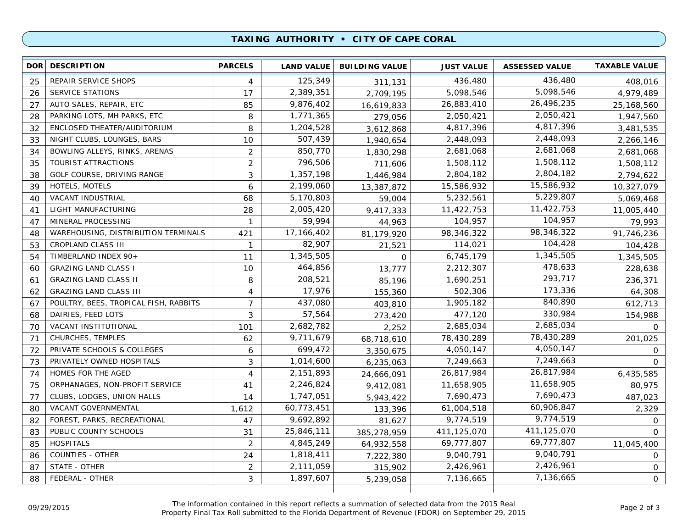#### **TAXING AUTHORITY • CITY OF CAPE CORAL**

| 436,480<br>125,349<br>436,480<br>REPAIR SERVICE SHOPS<br>25<br>4<br>408,016<br>311,131<br>5,098,546<br>17<br>2,389,351<br>5,098,546<br><b>SERVICE STATIONS</b><br>4,979,489<br>26<br>2,709,195<br>26,496,235<br>9,876,402<br>26,883,410<br>AUTO SALES, REPAIR, ETC<br>85<br>27<br>16,619,833<br>25,168,560<br>2,050,421<br>1,771,365<br>2,050,421<br>PARKING LOTS, MH PARKS, ETC<br>8<br>28<br>1,947,560<br>279,056<br>4,817,396<br>1,204,528<br>ENCLOSED THEATER/AUDITORIUM<br>8<br>4,817,396<br>32<br>3,481,535<br>3,612,868<br>2,448,093<br>507,439<br>NIGHT CLUBS, LOUNGES, BARS<br>10<br>2,448,093<br>33<br>2,266,146<br>1,940,654<br>2,681,068<br>850,770<br>2,681,068<br>BOWLING ALLEYS, RINKS, ARENAS<br>2<br>34<br>1,830,298<br>2,681,068<br>1,508,112<br>796,506<br>$\overline{2}$<br>1,508,112<br>TOURIST ATTRACTIONS<br>35<br>711,606<br>1,508,112<br>2,804,182<br>3<br>1,357,198<br>2,804,182<br>GOLF COURSE, DRIVING RANGE<br>38<br>2,794,622<br>1,446,984<br>15,586,932<br>2,199,060<br>15,586,932<br>HOTELS, MOTELS<br>6<br>39<br>13,387,872<br>10,327,079<br>5,229,807<br>5,232,561<br>5,170,803<br>VACANT INDUSTRIAL<br>68<br>40<br>5,069,468<br>59,004<br>11,422,753<br>2,005,420<br>LIGHT MANUFACTURING<br>11,422,753<br>28<br>41<br>9,417,333<br>11,005,440<br>104,957<br>59,994<br>MINERAL PROCESSING<br>104,957<br>47<br>$\mathbf{1}$<br>79,993<br>44,963<br>98,346,322<br>17,166,402<br>98,346,322<br>WAREHOUSING, DISTRIBUTION TERMINALS<br>421<br>81,179,920<br>91,746,236<br>48<br>104,428<br>82,907<br>CROPLAND CLASS III<br>114,021<br>53<br>$\mathbf{1}$<br>21,521<br>104,428<br>1,345,505<br>1,345,505<br>TIMBERLAND INDEX 90+<br>6,745,179<br>54<br>11<br>1,345,505<br>$\mathbf{O}$<br>478,633<br>464,856<br><b>GRAZING LAND CLASS I</b><br>10<br>2,212,307<br>228,638<br>60<br>13,777<br>293,717<br>208,521<br>1,690,251<br><b>GRAZING LAND CLASS II</b><br>8<br>236,371<br>61<br>85,196<br>173,336<br>17,976<br>502,306<br><b>GRAZING LAND CLASS III</b><br>62<br>4<br>155,360<br>64,308<br>840,890<br>437,080<br>7<br>1,905,182<br>POULTRY, BEES, TROPICAL FISH, RABBITS<br>612,713<br>67<br>403,810<br>330,984<br>57,564<br>DAIRIES, FEED LOTS<br>3<br>477,120<br>68<br>154,988<br>273,420<br>2,685,034<br>2,682,782<br>VACANT INSTITUTIONAL<br>2,685,034<br>70<br>101<br>2,252<br>$\Omega$<br>78,430,289<br>9,711,679<br>CHURCHES, TEMPLES<br>62<br>78,430,289<br>71<br>201,025<br>68,718,610<br>4,050,147<br>699,472<br>PRIVATE SCHOOLS & COLLEGES<br>4,050,147<br>72<br>6<br>3,350,675<br>$\circ$<br>7,249,663<br>PRIVATELY OWNED HOSPITALS<br>3<br>1,014,600<br>7,249,663<br>73<br>$\Omega$<br>6,235,063<br>26,817,984<br>2,151,893<br>HOMES FOR THE AGED<br>26,817,984<br>6,435,585<br>74<br>4<br>24,666,091<br>11,658,905<br>2,246,824<br>ORPHANAGES, NON-PROFIT SERVICE<br>11,658,905<br>75<br>80,975<br>41<br>9,412,081<br>7,690,473<br>CLUBS, LODGES, UNION HALLS<br>1,747,051<br>7,690,473<br>487,023<br>77<br>14<br>5,943,422<br>60,906,847<br>VACANT GOVERNMENTAL<br>60,773,451<br>61,004,518<br>80<br>1,612<br>2,329<br>133,396<br>9,774,519<br>FOREST, PARKS, RECREATIONAL<br>9,692,892<br>9,774,519<br>82<br>47<br>81,627<br>$\circ$<br>411,125,070<br>25,846,111<br>PUBLIC COUNTY SCHOOLS<br>411,125,070<br>83<br>31<br>$\Omega$<br>385,278,959<br>69,777,807<br><b>HOSPITALS</b><br>$\overline{2}$<br>4,845,249<br>69,777,807<br>85<br>64,932,558<br>11,045,400<br>9,040,791<br>1,818,411<br><b>COUNTIES - OTHER</b><br>9,040,791<br>86<br>24<br>7,222,380<br>$\circ$<br>2,426,961<br>2,111,059<br>STATE - OTHER<br>2,426,961<br>87<br>$\overline{2}$<br>315,902<br>0<br>7,136,665<br>FEDERAL - OTHER<br>3<br>1,897,607<br>7,136,665<br>$\overline{0}$<br>88<br>5,239,058 | DOR DESCRIPTION | <b>PARCELS</b> | <b>LAND VALUE</b> | <b>BUILDING VALUE</b> | <b>JUST VALUE</b> | <b>ASSESSED VALUE</b> | <b>TAXABLE VALUE</b> |
|--------------------------------------------------------------------------------------------------------------------------------------------------------------------------------------------------------------------------------------------------------------------------------------------------------------------------------------------------------------------------------------------------------------------------------------------------------------------------------------------------------------------------------------------------------------------------------------------------------------------------------------------------------------------------------------------------------------------------------------------------------------------------------------------------------------------------------------------------------------------------------------------------------------------------------------------------------------------------------------------------------------------------------------------------------------------------------------------------------------------------------------------------------------------------------------------------------------------------------------------------------------------------------------------------------------------------------------------------------------------------------------------------------------------------------------------------------------------------------------------------------------------------------------------------------------------------------------------------------------------------------------------------------------------------------------------------------------------------------------------------------------------------------------------------------------------------------------------------------------------------------------------------------------------------------------------------------------------------------------------------------------------------------------------------------------------------------------------------------------------------------------------------------------------------------------------------------------------------------------------------------------------------------------------------------------------------------------------------------------------------------------------------------------------------------------------------------------------------------------------------------------------------------------------------------------------------------------------------------------------------------------------------------------------------------------------------------------------------------------------------------------------------------------------------------------------------------------------------------------------------------------------------------------------------------------------------------------------------------------------------------------------------------------------------------------------------------------------------------------------------------------------------------------------------------------------------------------------------------------------------------------------------------------------------------------------------------------------------------------------------------------------------------------------------------------------------------------------------------------------------------------------------------------------------------------------------------------------------------------------------------------------------------------------------------------------------------------------------------|-----------------|----------------|-------------------|-----------------------|-------------------|-----------------------|----------------------|
|                                                                                                                                                                                                                                                                                                                                                                                                                                                                                                                                                                                                                                                                                                                                                                                                                                                                                                                                                                                                                                                                                                                                                                                                                                                                                                                                                                                                                                                                                                                                                                                                                                                                                                                                                                                                                                                                                                                                                                                                                                                                                                                                                                                                                                                                                                                                                                                                                                                                                                                                                                                                                                                                                                                                                                                                                                                                                                                                                                                                                                                                                                                                                                                                                                                                                                                                                                                                                                                                                                                                                                                                                                                                                                                                |                 |                |                   |                       |                   |                       |                      |
|                                                                                                                                                                                                                                                                                                                                                                                                                                                                                                                                                                                                                                                                                                                                                                                                                                                                                                                                                                                                                                                                                                                                                                                                                                                                                                                                                                                                                                                                                                                                                                                                                                                                                                                                                                                                                                                                                                                                                                                                                                                                                                                                                                                                                                                                                                                                                                                                                                                                                                                                                                                                                                                                                                                                                                                                                                                                                                                                                                                                                                                                                                                                                                                                                                                                                                                                                                                                                                                                                                                                                                                                                                                                                                                                |                 |                |                   |                       |                   |                       |                      |
|                                                                                                                                                                                                                                                                                                                                                                                                                                                                                                                                                                                                                                                                                                                                                                                                                                                                                                                                                                                                                                                                                                                                                                                                                                                                                                                                                                                                                                                                                                                                                                                                                                                                                                                                                                                                                                                                                                                                                                                                                                                                                                                                                                                                                                                                                                                                                                                                                                                                                                                                                                                                                                                                                                                                                                                                                                                                                                                                                                                                                                                                                                                                                                                                                                                                                                                                                                                                                                                                                                                                                                                                                                                                                                                                |                 |                |                   |                       |                   |                       |                      |
|                                                                                                                                                                                                                                                                                                                                                                                                                                                                                                                                                                                                                                                                                                                                                                                                                                                                                                                                                                                                                                                                                                                                                                                                                                                                                                                                                                                                                                                                                                                                                                                                                                                                                                                                                                                                                                                                                                                                                                                                                                                                                                                                                                                                                                                                                                                                                                                                                                                                                                                                                                                                                                                                                                                                                                                                                                                                                                                                                                                                                                                                                                                                                                                                                                                                                                                                                                                                                                                                                                                                                                                                                                                                                                                                |                 |                |                   |                       |                   |                       |                      |
|                                                                                                                                                                                                                                                                                                                                                                                                                                                                                                                                                                                                                                                                                                                                                                                                                                                                                                                                                                                                                                                                                                                                                                                                                                                                                                                                                                                                                                                                                                                                                                                                                                                                                                                                                                                                                                                                                                                                                                                                                                                                                                                                                                                                                                                                                                                                                                                                                                                                                                                                                                                                                                                                                                                                                                                                                                                                                                                                                                                                                                                                                                                                                                                                                                                                                                                                                                                                                                                                                                                                                                                                                                                                                                                                |                 |                |                   |                       |                   |                       |                      |
|                                                                                                                                                                                                                                                                                                                                                                                                                                                                                                                                                                                                                                                                                                                                                                                                                                                                                                                                                                                                                                                                                                                                                                                                                                                                                                                                                                                                                                                                                                                                                                                                                                                                                                                                                                                                                                                                                                                                                                                                                                                                                                                                                                                                                                                                                                                                                                                                                                                                                                                                                                                                                                                                                                                                                                                                                                                                                                                                                                                                                                                                                                                                                                                                                                                                                                                                                                                                                                                                                                                                                                                                                                                                                                                                |                 |                |                   |                       |                   |                       |                      |
|                                                                                                                                                                                                                                                                                                                                                                                                                                                                                                                                                                                                                                                                                                                                                                                                                                                                                                                                                                                                                                                                                                                                                                                                                                                                                                                                                                                                                                                                                                                                                                                                                                                                                                                                                                                                                                                                                                                                                                                                                                                                                                                                                                                                                                                                                                                                                                                                                                                                                                                                                                                                                                                                                                                                                                                                                                                                                                                                                                                                                                                                                                                                                                                                                                                                                                                                                                                                                                                                                                                                                                                                                                                                                                                                |                 |                |                   |                       |                   |                       |                      |
|                                                                                                                                                                                                                                                                                                                                                                                                                                                                                                                                                                                                                                                                                                                                                                                                                                                                                                                                                                                                                                                                                                                                                                                                                                                                                                                                                                                                                                                                                                                                                                                                                                                                                                                                                                                                                                                                                                                                                                                                                                                                                                                                                                                                                                                                                                                                                                                                                                                                                                                                                                                                                                                                                                                                                                                                                                                                                                                                                                                                                                                                                                                                                                                                                                                                                                                                                                                                                                                                                                                                                                                                                                                                                                                                |                 |                |                   |                       |                   |                       |                      |
|                                                                                                                                                                                                                                                                                                                                                                                                                                                                                                                                                                                                                                                                                                                                                                                                                                                                                                                                                                                                                                                                                                                                                                                                                                                                                                                                                                                                                                                                                                                                                                                                                                                                                                                                                                                                                                                                                                                                                                                                                                                                                                                                                                                                                                                                                                                                                                                                                                                                                                                                                                                                                                                                                                                                                                                                                                                                                                                                                                                                                                                                                                                                                                                                                                                                                                                                                                                                                                                                                                                                                                                                                                                                                                                                |                 |                |                   |                       |                   |                       |                      |
|                                                                                                                                                                                                                                                                                                                                                                                                                                                                                                                                                                                                                                                                                                                                                                                                                                                                                                                                                                                                                                                                                                                                                                                                                                                                                                                                                                                                                                                                                                                                                                                                                                                                                                                                                                                                                                                                                                                                                                                                                                                                                                                                                                                                                                                                                                                                                                                                                                                                                                                                                                                                                                                                                                                                                                                                                                                                                                                                                                                                                                                                                                                                                                                                                                                                                                                                                                                                                                                                                                                                                                                                                                                                                                                                |                 |                |                   |                       |                   |                       |                      |
|                                                                                                                                                                                                                                                                                                                                                                                                                                                                                                                                                                                                                                                                                                                                                                                                                                                                                                                                                                                                                                                                                                                                                                                                                                                                                                                                                                                                                                                                                                                                                                                                                                                                                                                                                                                                                                                                                                                                                                                                                                                                                                                                                                                                                                                                                                                                                                                                                                                                                                                                                                                                                                                                                                                                                                                                                                                                                                                                                                                                                                                                                                                                                                                                                                                                                                                                                                                                                                                                                                                                                                                                                                                                                                                                |                 |                |                   |                       |                   |                       |                      |
|                                                                                                                                                                                                                                                                                                                                                                                                                                                                                                                                                                                                                                                                                                                                                                                                                                                                                                                                                                                                                                                                                                                                                                                                                                                                                                                                                                                                                                                                                                                                                                                                                                                                                                                                                                                                                                                                                                                                                                                                                                                                                                                                                                                                                                                                                                                                                                                                                                                                                                                                                                                                                                                                                                                                                                                                                                                                                                                                                                                                                                                                                                                                                                                                                                                                                                                                                                                                                                                                                                                                                                                                                                                                                                                                |                 |                |                   |                       |                   |                       |                      |
|                                                                                                                                                                                                                                                                                                                                                                                                                                                                                                                                                                                                                                                                                                                                                                                                                                                                                                                                                                                                                                                                                                                                                                                                                                                                                                                                                                                                                                                                                                                                                                                                                                                                                                                                                                                                                                                                                                                                                                                                                                                                                                                                                                                                                                                                                                                                                                                                                                                                                                                                                                                                                                                                                                                                                                                                                                                                                                                                                                                                                                                                                                                                                                                                                                                                                                                                                                                                                                                                                                                                                                                                                                                                                                                                |                 |                |                   |                       |                   |                       |                      |
|                                                                                                                                                                                                                                                                                                                                                                                                                                                                                                                                                                                                                                                                                                                                                                                                                                                                                                                                                                                                                                                                                                                                                                                                                                                                                                                                                                                                                                                                                                                                                                                                                                                                                                                                                                                                                                                                                                                                                                                                                                                                                                                                                                                                                                                                                                                                                                                                                                                                                                                                                                                                                                                                                                                                                                                                                                                                                                                                                                                                                                                                                                                                                                                                                                                                                                                                                                                                                                                                                                                                                                                                                                                                                                                                |                 |                |                   |                       |                   |                       |                      |
|                                                                                                                                                                                                                                                                                                                                                                                                                                                                                                                                                                                                                                                                                                                                                                                                                                                                                                                                                                                                                                                                                                                                                                                                                                                                                                                                                                                                                                                                                                                                                                                                                                                                                                                                                                                                                                                                                                                                                                                                                                                                                                                                                                                                                                                                                                                                                                                                                                                                                                                                                                                                                                                                                                                                                                                                                                                                                                                                                                                                                                                                                                                                                                                                                                                                                                                                                                                                                                                                                                                                                                                                                                                                                                                                |                 |                |                   |                       |                   |                       |                      |
|                                                                                                                                                                                                                                                                                                                                                                                                                                                                                                                                                                                                                                                                                                                                                                                                                                                                                                                                                                                                                                                                                                                                                                                                                                                                                                                                                                                                                                                                                                                                                                                                                                                                                                                                                                                                                                                                                                                                                                                                                                                                                                                                                                                                                                                                                                                                                                                                                                                                                                                                                                                                                                                                                                                                                                                                                                                                                                                                                                                                                                                                                                                                                                                                                                                                                                                                                                                                                                                                                                                                                                                                                                                                                                                                |                 |                |                   |                       |                   |                       |                      |
|                                                                                                                                                                                                                                                                                                                                                                                                                                                                                                                                                                                                                                                                                                                                                                                                                                                                                                                                                                                                                                                                                                                                                                                                                                                                                                                                                                                                                                                                                                                                                                                                                                                                                                                                                                                                                                                                                                                                                                                                                                                                                                                                                                                                                                                                                                                                                                                                                                                                                                                                                                                                                                                                                                                                                                                                                                                                                                                                                                                                                                                                                                                                                                                                                                                                                                                                                                                                                                                                                                                                                                                                                                                                                                                                |                 |                |                   |                       |                   |                       |                      |
|                                                                                                                                                                                                                                                                                                                                                                                                                                                                                                                                                                                                                                                                                                                                                                                                                                                                                                                                                                                                                                                                                                                                                                                                                                                                                                                                                                                                                                                                                                                                                                                                                                                                                                                                                                                                                                                                                                                                                                                                                                                                                                                                                                                                                                                                                                                                                                                                                                                                                                                                                                                                                                                                                                                                                                                                                                                                                                                                                                                                                                                                                                                                                                                                                                                                                                                                                                                                                                                                                                                                                                                                                                                                                                                                |                 |                |                   |                       |                   |                       |                      |
|                                                                                                                                                                                                                                                                                                                                                                                                                                                                                                                                                                                                                                                                                                                                                                                                                                                                                                                                                                                                                                                                                                                                                                                                                                                                                                                                                                                                                                                                                                                                                                                                                                                                                                                                                                                                                                                                                                                                                                                                                                                                                                                                                                                                                                                                                                                                                                                                                                                                                                                                                                                                                                                                                                                                                                                                                                                                                                                                                                                                                                                                                                                                                                                                                                                                                                                                                                                                                                                                                                                                                                                                                                                                                                                                |                 |                |                   |                       |                   |                       |                      |
|                                                                                                                                                                                                                                                                                                                                                                                                                                                                                                                                                                                                                                                                                                                                                                                                                                                                                                                                                                                                                                                                                                                                                                                                                                                                                                                                                                                                                                                                                                                                                                                                                                                                                                                                                                                                                                                                                                                                                                                                                                                                                                                                                                                                                                                                                                                                                                                                                                                                                                                                                                                                                                                                                                                                                                                                                                                                                                                                                                                                                                                                                                                                                                                                                                                                                                                                                                                                                                                                                                                                                                                                                                                                                                                                |                 |                |                   |                       |                   |                       |                      |
|                                                                                                                                                                                                                                                                                                                                                                                                                                                                                                                                                                                                                                                                                                                                                                                                                                                                                                                                                                                                                                                                                                                                                                                                                                                                                                                                                                                                                                                                                                                                                                                                                                                                                                                                                                                                                                                                                                                                                                                                                                                                                                                                                                                                                                                                                                                                                                                                                                                                                                                                                                                                                                                                                                                                                                                                                                                                                                                                                                                                                                                                                                                                                                                                                                                                                                                                                                                                                                                                                                                                                                                                                                                                                                                                |                 |                |                   |                       |                   |                       |                      |
|                                                                                                                                                                                                                                                                                                                                                                                                                                                                                                                                                                                                                                                                                                                                                                                                                                                                                                                                                                                                                                                                                                                                                                                                                                                                                                                                                                                                                                                                                                                                                                                                                                                                                                                                                                                                                                                                                                                                                                                                                                                                                                                                                                                                                                                                                                                                                                                                                                                                                                                                                                                                                                                                                                                                                                                                                                                                                                                                                                                                                                                                                                                                                                                                                                                                                                                                                                                                                                                                                                                                                                                                                                                                                                                                |                 |                |                   |                       |                   |                       |                      |
|                                                                                                                                                                                                                                                                                                                                                                                                                                                                                                                                                                                                                                                                                                                                                                                                                                                                                                                                                                                                                                                                                                                                                                                                                                                                                                                                                                                                                                                                                                                                                                                                                                                                                                                                                                                                                                                                                                                                                                                                                                                                                                                                                                                                                                                                                                                                                                                                                                                                                                                                                                                                                                                                                                                                                                                                                                                                                                                                                                                                                                                                                                                                                                                                                                                                                                                                                                                                                                                                                                                                                                                                                                                                                                                                |                 |                |                   |                       |                   |                       |                      |
|                                                                                                                                                                                                                                                                                                                                                                                                                                                                                                                                                                                                                                                                                                                                                                                                                                                                                                                                                                                                                                                                                                                                                                                                                                                                                                                                                                                                                                                                                                                                                                                                                                                                                                                                                                                                                                                                                                                                                                                                                                                                                                                                                                                                                                                                                                                                                                                                                                                                                                                                                                                                                                                                                                                                                                                                                                                                                                                                                                                                                                                                                                                                                                                                                                                                                                                                                                                                                                                                                                                                                                                                                                                                                                                                |                 |                |                   |                       |                   |                       |                      |
|                                                                                                                                                                                                                                                                                                                                                                                                                                                                                                                                                                                                                                                                                                                                                                                                                                                                                                                                                                                                                                                                                                                                                                                                                                                                                                                                                                                                                                                                                                                                                                                                                                                                                                                                                                                                                                                                                                                                                                                                                                                                                                                                                                                                                                                                                                                                                                                                                                                                                                                                                                                                                                                                                                                                                                                                                                                                                                                                                                                                                                                                                                                                                                                                                                                                                                                                                                                                                                                                                                                                                                                                                                                                                                                                |                 |                |                   |                       |                   |                       |                      |
|                                                                                                                                                                                                                                                                                                                                                                                                                                                                                                                                                                                                                                                                                                                                                                                                                                                                                                                                                                                                                                                                                                                                                                                                                                                                                                                                                                                                                                                                                                                                                                                                                                                                                                                                                                                                                                                                                                                                                                                                                                                                                                                                                                                                                                                                                                                                                                                                                                                                                                                                                                                                                                                                                                                                                                                                                                                                                                                                                                                                                                                                                                                                                                                                                                                                                                                                                                                                                                                                                                                                                                                                                                                                                                                                |                 |                |                   |                       |                   |                       |                      |
|                                                                                                                                                                                                                                                                                                                                                                                                                                                                                                                                                                                                                                                                                                                                                                                                                                                                                                                                                                                                                                                                                                                                                                                                                                                                                                                                                                                                                                                                                                                                                                                                                                                                                                                                                                                                                                                                                                                                                                                                                                                                                                                                                                                                                                                                                                                                                                                                                                                                                                                                                                                                                                                                                                                                                                                                                                                                                                                                                                                                                                                                                                                                                                                                                                                                                                                                                                                                                                                                                                                                                                                                                                                                                                                                |                 |                |                   |                       |                   |                       |                      |
|                                                                                                                                                                                                                                                                                                                                                                                                                                                                                                                                                                                                                                                                                                                                                                                                                                                                                                                                                                                                                                                                                                                                                                                                                                                                                                                                                                                                                                                                                                                                                                                                                                                                                                                                                                                                                                                                                                                                                                                                                                                                                                                                                                                                                                                                                                                                                                                                                                                                                                                                                                                                                                                                                                                                                                                                                                                                                                                                                                                                                                                                                                                                                                                                                                                                                                                                                                                                                                                                                                                                                                                                                                                                                                                                |                 |                |                   |                       |                   |                       |                      |
|                                                                                                                                                                                                                                                                                                                                                                                                                                                                                                                                                                                                                                                                                                                                                                                                                                                                                                                                                                                                                                                                                                                                                                                                                                                                                                                                                                                                                                                                                                                                                                                                                                                                                                                                                                                                                                                                                                                                                                                                                                                                                                                                                                                                                                                                                                                                                                                                                                                                                                                                                                                                                                                                                                                                                                                                                                                                                                                                                                                                                                                                                                                                                                                                                                                                                                                                                                                                                                                                                                                                                                                                                                                                                                                                |                 |                |                   |                       |                   |                       |                      |
|                                                                                                                                                                                                                                                                                                                                                                                                                                                                                                                                                                                                                                                                                                                                                                                                                                                                                                                                                                                                                                                                                                                                                                                                                                                                                                                                                                                                                                                                                                                                                                                                                                                                                                                                                                                                                                                                                                                                                                                                                                                                                                                                                                                                                                                                                                                                                                                                                                                                                                                                                                                                                                                                                                                                                                                                                                                                                                                                                                                                                                                                                                                                                                                                                                                                                                                                                                                                                                                                                                                                                                                                                                                                                                                                |                 |                |                   |                       |                   |                       |                      |
|                                                                                                                                                                                                                                                                                                                                                                                                                                                                                                                                                                                                                                                                                                                                                                                                                                                                                                                                                                                                                                                                                                                                                                                                                                                                                                                                                                                                                                                                                                                                                                                                                                                                                                                                                                                                                                                                                                                                                                                                                                                                                                                                                                                                                                                                                                                                                                                                                                                                                                                                                                                                                                                                                                                                                                                                                                                                                                                                                                                                                                                                                                                                                                                                                                                                                                                                                                                                                                                                                                                                                                                                                                                                                                                                |                 |                |                   |                       |                   |                       |                      |
|                                                                                                                                                                                                                                                                                                                                                                                                                                                                                                                                                                                                                                                                                                                                                                                                                                                                                                                                                                                                                                                                                                                                                                                                                                                                                                                                                                                                                                                                                                                                                                                                                                                                                                                                                                                                                                                                                                                                                                                                                                                                                                                                                                                                                                                                                                                                                                                                                                                                                                                                                                                                                                                                                                                                                                                                                                                                                                                                                                                                                                                                                                                                                                                                                                                                                                                                                                                                                                                                                                                                                                                                                                                                                                                                |                 |                |                   |                       |                   |                       |                      |
|                                                                                                                                                                                                                                                                                                                                                                                                                                                                                                                                                                                                                                                                                                                                                                                                                                                                                                                                                                                                                                                                                                                                                                                                                                                                                                                                                                                                                                                                                                                                                                                                                                                                                                                                                                                                                                                                                                                                                                                                                                                                                                                                                                                                                                                                                                                                                                                                                                                                                                                                                                                                                                                                                                                                                                                                                                                                                                                                                                                                                                                                                                                                                                                                                                                                                                                                                                                                                                                                                                                                                                                                                                                                                                                                |                 |                |                   |                       |                   |                       |                      |
|                                                                                                                                                                                                                                                                                                                                                                                                                                                                                                                                                                                                                                                                                                                                                                                                                                                                                                                                                                                                                                                                                                                                                                                                                                                                                                                                                                                                                                                                                                                                                                                                                                                                                                                                                                                                                                                                                                                                                                                                                                                                                                                                                                                                                                                                                                                                                                                                                                                                                                                                                                                                                                                                                                                                                                                                                                                                                                                                                                                                                                                                                                                                                                                                                                                                                                                                                                                                                                                                                                                                                                                                                                                                                                                                |                 |                |                   |                       |                   |                       |                      |
|                                                                                                                                                                                                                                                                                                                                                                                                                                                                                                                                                                                                                                                                                                                                                                                                                                                                                                                                                                                                                                                                                                                                                                                                                                                                                                                                                                                                                                                                                                                                                                                                                                                                                                                                                                                                                                                                                                                                                                                                                                                                                                                                                                                                                                                                                                                                                                                                                                                                                                                                                                                                                                                                                                                                                                                                                                                                                                                                                                                                                                                                                                                                                                                                                                                                                                                                                                                                                                                                                                                                                                                                                                                                                                                                |                 |                |                   |                       |                   |                       |                      |